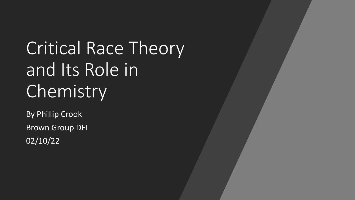Critical Race Theory and Its Role in Chemistry

**By Phillip Crook** Brown Group DEI 02/10/22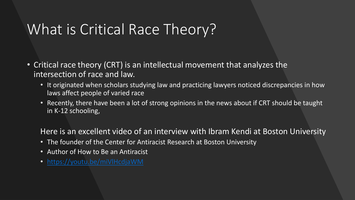## What is Critical Race Theory?

- Critical race theory (CRT) is an intellectual movement that analyzes the intersection of race and law.
	- It originated when scholars studying law and practicing lawyers noticed discrepancies in how laws affect people of varied race
	- Recently, there have been a lot of strong opinions in the news about if CRT should be taught in K-12 schooling,

Here is an excellent video of an interview with Ibram Kendi at Boston University

- The founder of the Center for Antiracist Research at Boston University
- Author of How to Be an Antiracist
- <https://youtu.be/miVlHcdjaWM>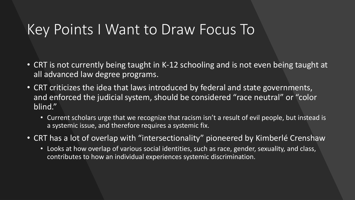## Key Points I Want to Draw Focus To

- CRT is not currently being taught in K-12 schooling and is not even being taught at all advanced law degree programs.
- CRT criticizes the idea that laws introduced by federal and state governments, and enforced the judicial system, should be considered "race neutral" or "color blind."
	- Current scholars urge that we recognize that racism isn't a result of evil people, but instead is a systemic issue, and therefore requires a systemic fix.
- CRT has a lot of overlap with "intersectionality" pioneered by Kimberlé Crenshaw
	- Looks at how overlap of various social identities, such as race, gender, sexuality, and class, contributes to how an individual experiences systemic discrimination.